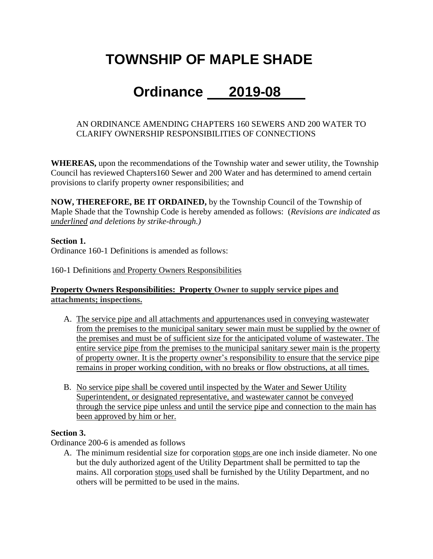# **TOWNSHIP OF MAPLE SHADE**

## **Ordinance 2019-08**

#### AN ORDINANCE AMENDING CHAPTERS 160 SEWERS AND 200 WATER TO CLARIFY OWNERSHIP RESPONSIBILITIES OF CONNECTIONS

**WHEREAS,** upon the recommendations of the Township water and sewer utility, the Township Council has reviewed Chapters160 Sewer and 200 Water and has determined to amend certain provisions to clarify property owner responsibilities; and

**NOW, THEREFORE, BE IT ORDAINED,** by the Township Council of the Township of Maple Shade that the Township Code is hereby amended as follows: (*Revisions are indicated as underlined and deletions by strike-through.)*

#### **Section 1.**

Ordinance 160-1 Definitions is amended as follows:

160-1 Definitions and Property Owners Responsibilities

#### **Property Owners Responsibilities: Property [Owner to supply service pipes and](https://ecode360.com/6928783#6928811)  [attachments; inspections.](https://ecode360.com/6928783#6928811)**

- A. The service pipe and all attachments and appurtenances used in conveying wastewater from the premises to the municipal sanitary sewer main must be supplied by the owner of the premises and must be of sufficient size for the anticipated volume of wastewater. The entire service pipe from the premises to the municipal sanitary sewer main is the property of property owner. It is the property owner's responsibility to ensure that the service pipe remains in proper working condition, with no breaks or flow obstructions, at all times.
- B. No service pipe shall be covered until inspected by the Water and Sewer Utility Superintendent, or designated representative, and wastewater cannot be conveyed through the service pipe unless and until the service pipe and connection to the main has been approved by him or her.

#### **Section 3.**

Ordinance 200-6 is amended as follows

A. The minimum residential size for corporation stops are one inch inside diameter. No one but the duly authorized agent of the Utility Department shall be permitted to tap the mains. All corporation stops used shall be furnished by the Utility Department, and no others will be permitted to be used in the mains.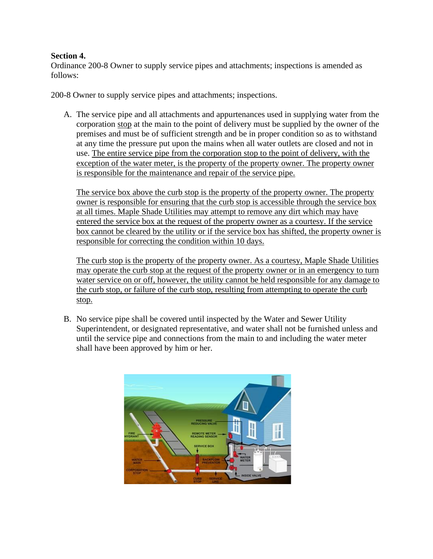#### **Section 4.**

Ordinance 200-8 Owner to supply service pipes and attachments; inspections is amended as follows:

200-8 Owner to supply service pipes and attachments; inspections.

A. The service pipe and all attachments and appurtenances used in supplying water from the corporation stop at the main to the point of delivery must be supplied by the owner of the premises and must be of sufficient strength and be in proper condition so as to withstand at any time the pressure put upon the mains when all water outlets are closed and not in use. The entire service pipe from the corporation stop to the point of delivery, with the exception of the water meter, is the property of the property owner. The property owner is responsible for the maintenance and repair of the service pipe.

The service box above the curb stop is the property of the property owner. The property owner is responsible for ensuring that the curb stop is accessible through the service box at all times. Maple Shade Utilities may attempt to remove any dirt which may have entered the service box at the request of the property owner as a courtesy. If the service box cannot be cleared by the utility or if the service box has shifted, the property owner is responsible for correcting the condition within 10 days.

The curb stop is the property of the property owner. As a courtesy, Maple Shade Utilities may operate the curb stop at the request of the property owner or in an emergency to turn water service on or off, however, the utility cannot be held responsible for any damage to the curb stop, or failure of the curb stop, resulting from attempting to operate the curb stop.

B. No service pipe shall be covered until inspected by the Water and Sewer Utility Superintendent, or designated representative, and water shall not be furnished unless and until the service pipe and connections from the main to and including the water meter shall have been approved by him or her.